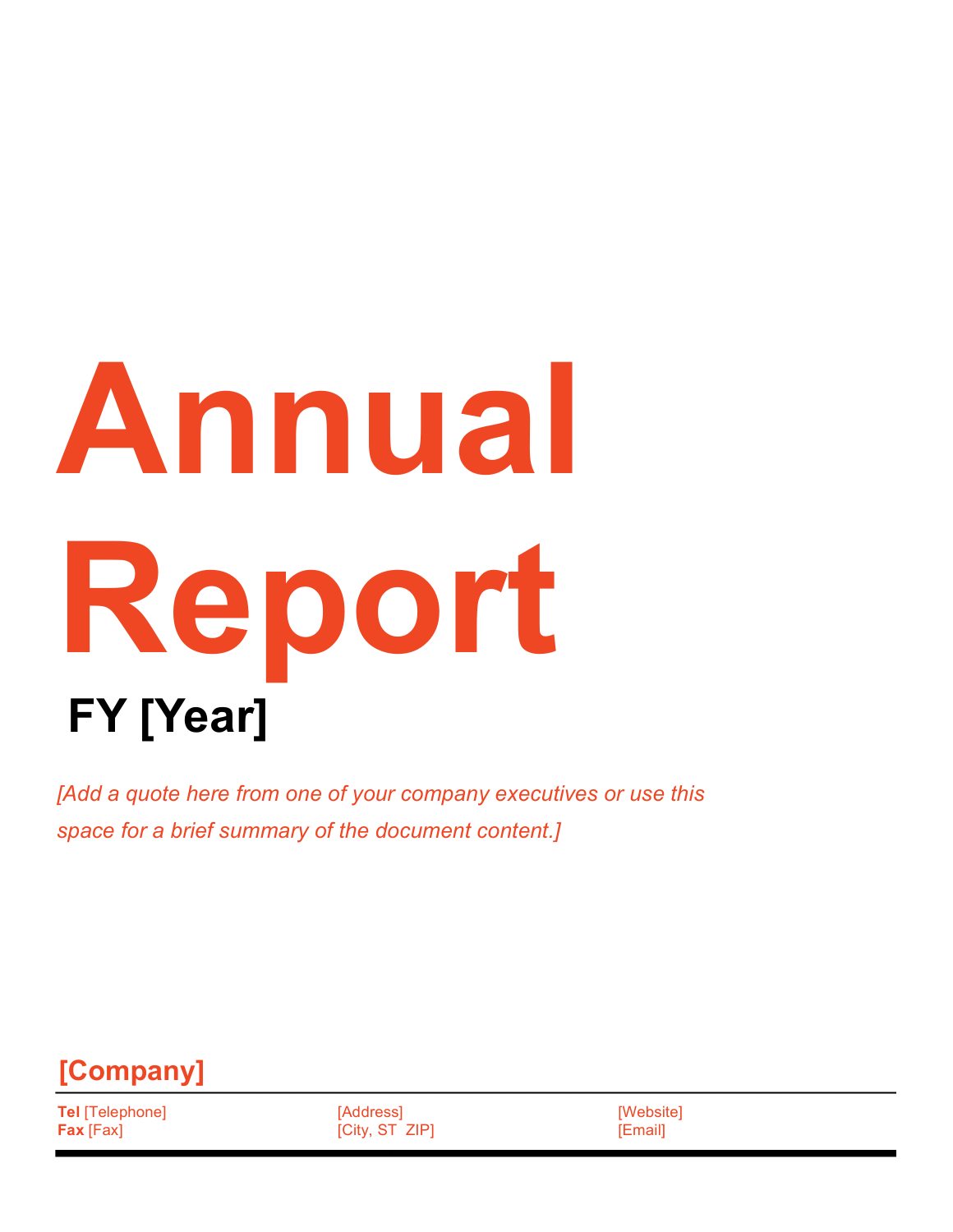# **Annual Report FY [Year]**

*[Add a quote here from one of your company executives or use this space for a brief summary of the document content.]*



**Tel** [Telephone] **Fax** [Fax]

[Address] [City, ST ZIP] [Website] [Email]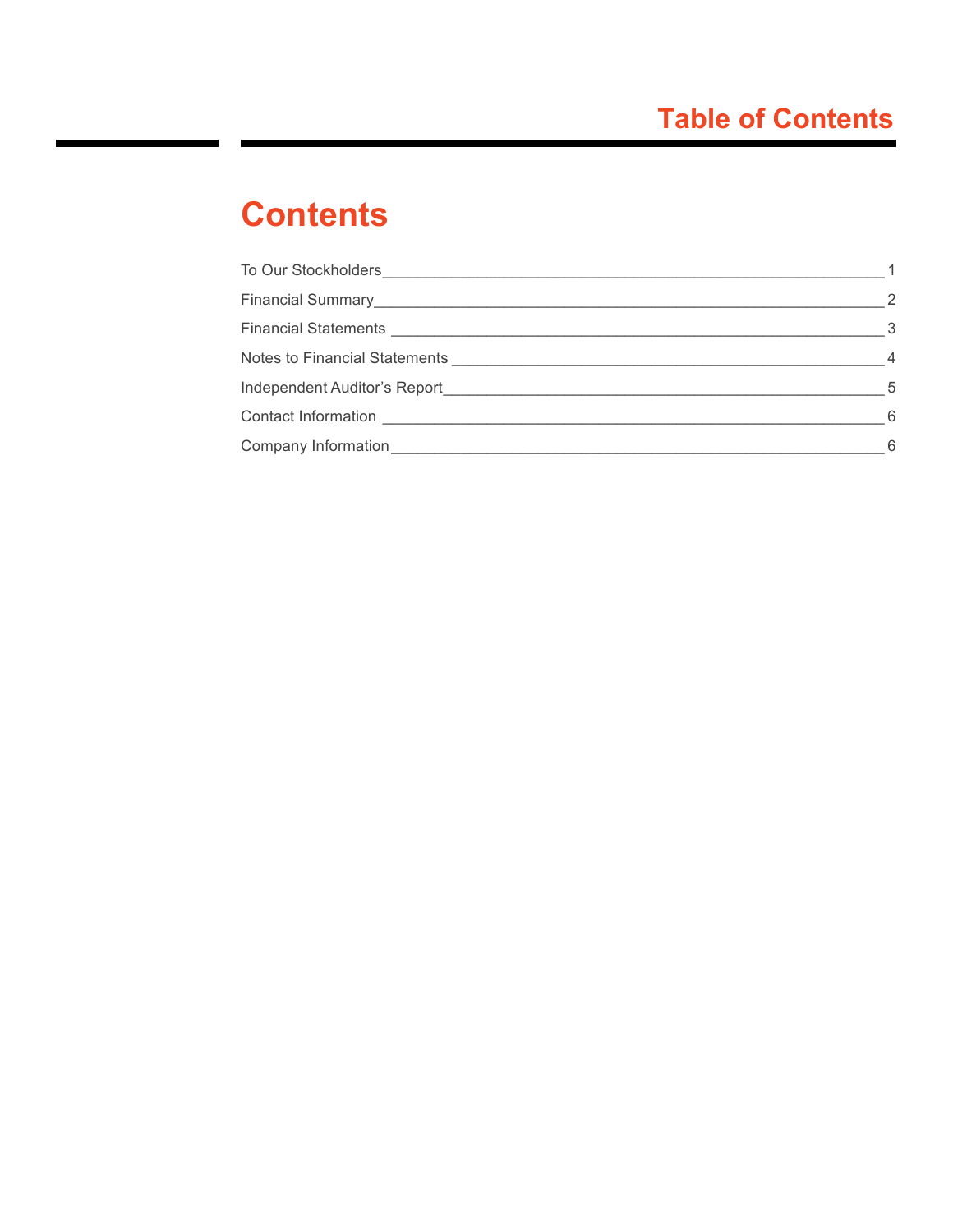# **Contents**

|                                                | $\overline{\phantom{0}}^2$ |
|------------------------------------------------|----------------------------|
|                                                | - 3                        |
|                                                | $\overline{4}$             |
|                                                | - 5                        |
|                                                | - 6                        |
| Company Information <b>Company</b> Information | - 6                        |
|                                                |                            |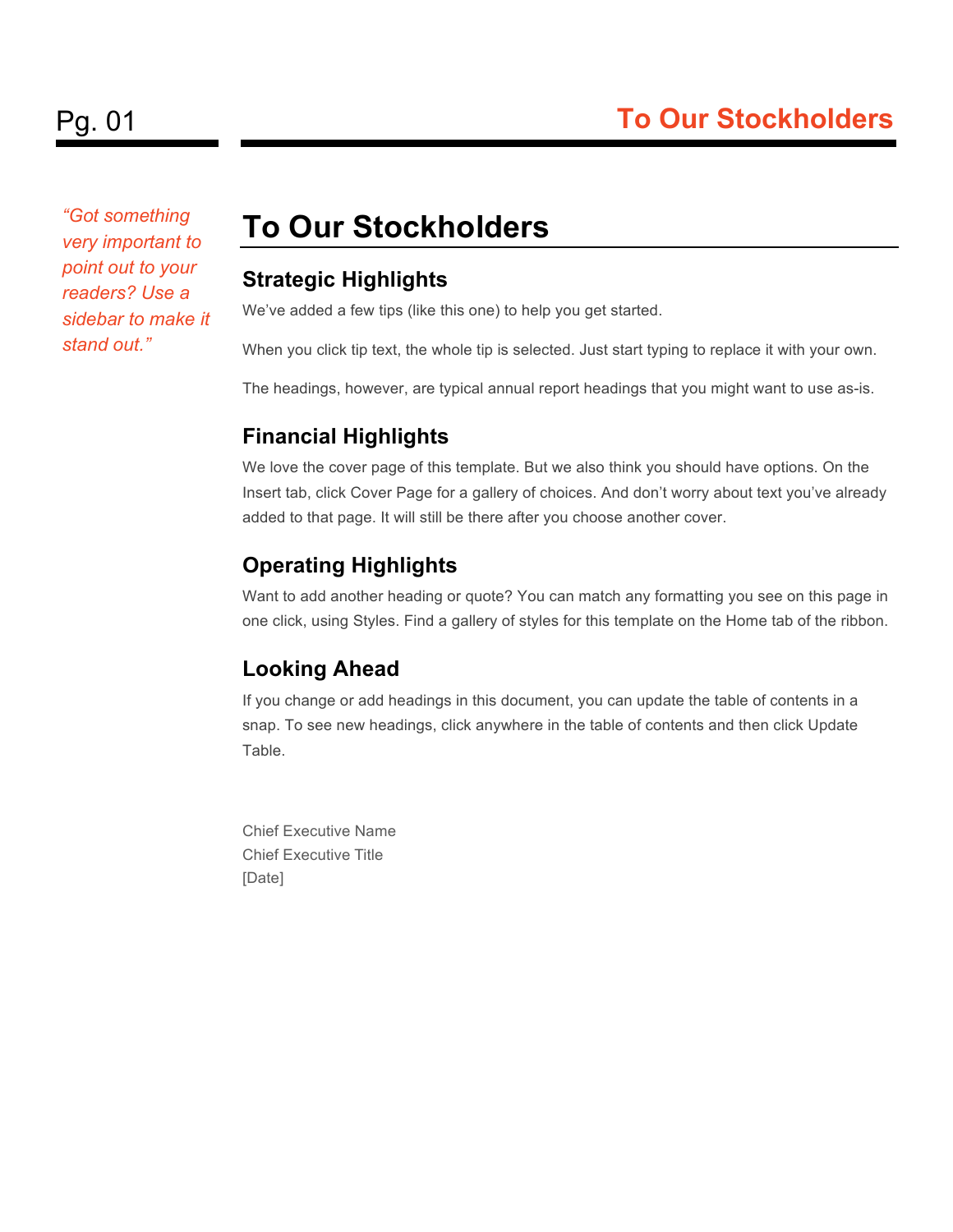*"Got something very important to point out to your readers? Use a sidebar to make it stand out."*

## **To Our Stockholders**

#### **Strategic Highlights**

We've added a few tips (like this one) to help you get started.

When you click tip text, the whole tip is selected. Just start typing to replace it with your own.

The headings, however, are typical annual report headings that you might want to use as-is.

## **Financial Highlights**

We love the cover page of this template. But we also think you should have options. On the Insert tab, click Cover Page for a gallery of choices. And don't worry about text you've already added to that page. It will still be there after you choose another cover.

## **Operating Highlights**

Want to add another heading or quote? You can match any formatting you see on this page in one click, using Styles. Find a gallery of styles for this template on the Home tab of the ribbon.

### **Looking Ahead**

If you change or add headings in this document, you can update the table of contents in a snap. To see new headings, click anywhere in the table of contents and then click Update Table.

Chief Executive Name Chief Executive Title [Date]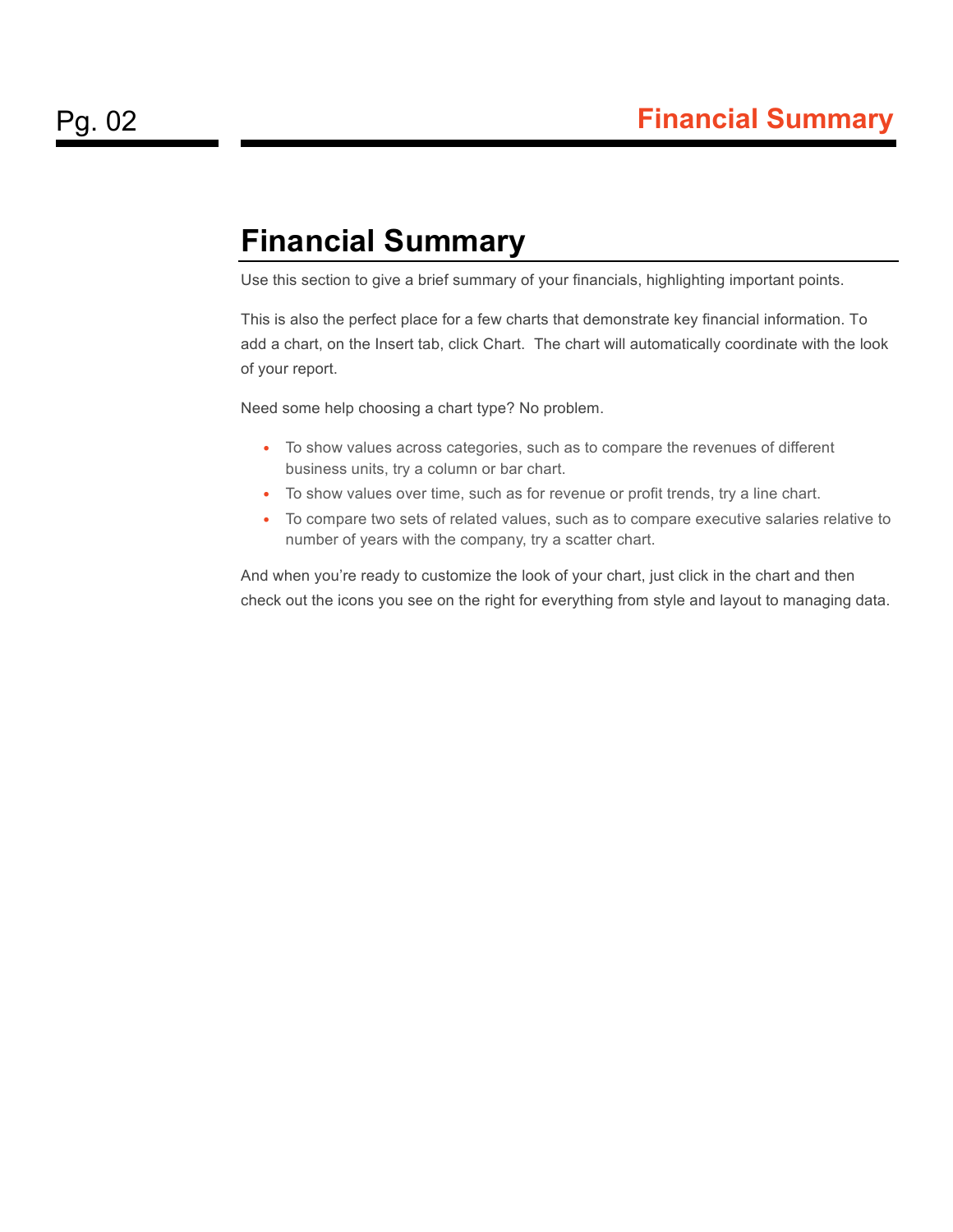## **Financial Summary**

Use this section to give a brief summary of your financials, highlighting important points.

This is also the perfect place for a few charts that demonstrate key financial information. To add a chart, on the Insert tab, click Chart. The chart will automatically coordinate with the look of your report.

Need some help choosing a chart type? No problem.

- To show values across categories, such as to compare the revenues of different business units, try a column or bar chart.
- To show values over time, such as for revenue or profit trends, try a line chart.
- To compare two sets of related values, such as to compare executive salaries relative to number of years with the company, try a scatter chart.

And when you're ready to customize the look of your chart, just click in the chart and then check out the icons you see on the right for everything from style and layout to managing data.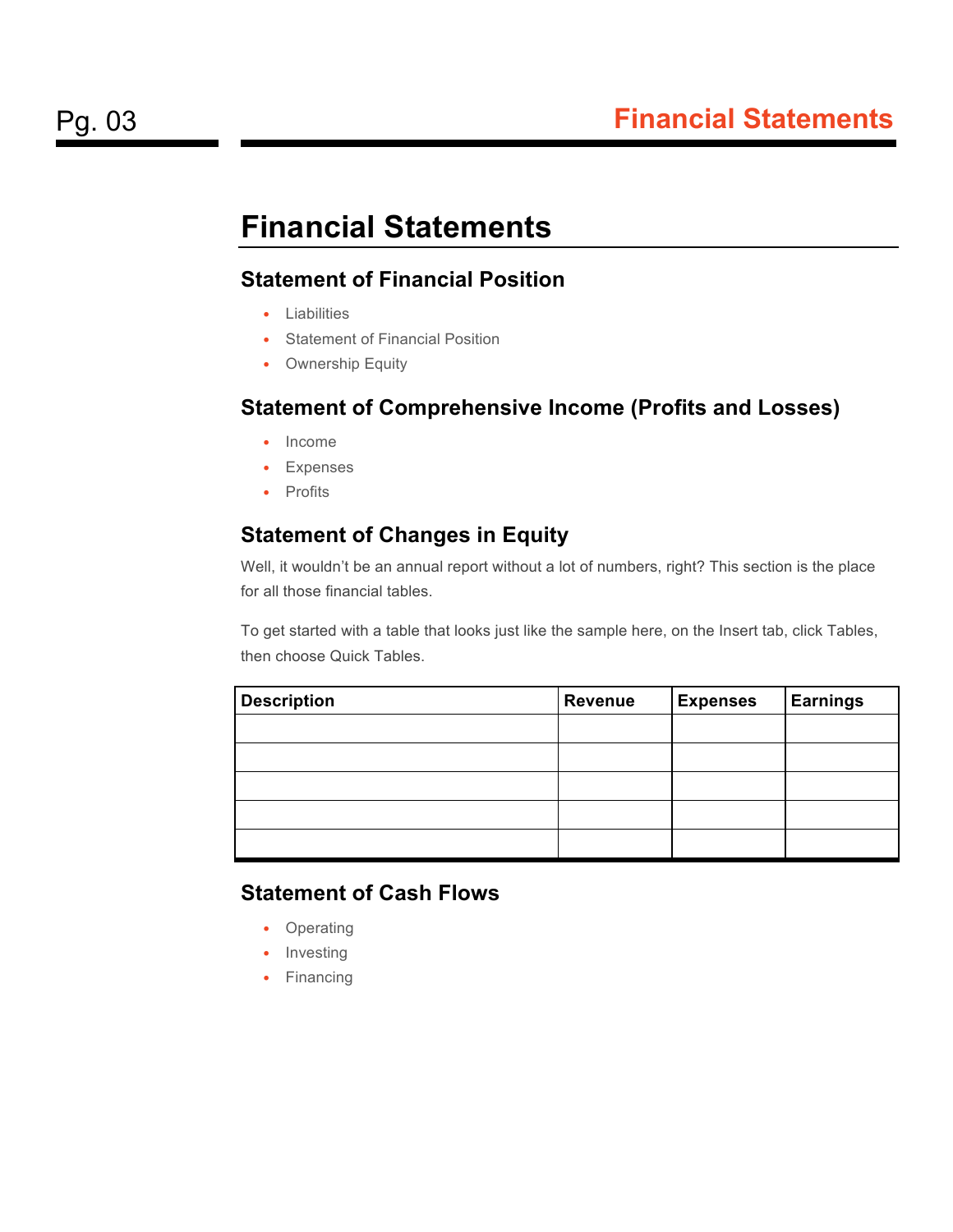## **Financial Statements**

#### **Statement of Financial Position**

- Liabilities
- Statement of Financial Position
- Ownership Equity

#### **Statement of Comprehensive Income (Profits and Losses)**

- Income
- Expenses
- Profits

#### **Statement of Changes in Equity**

Well, it wouldn't be an annual report without a lot of numbers, right? This section is the place for all those financial tables.

To get started with a table that looks just like the sample here, on the Insert tab, click Tables, then choose Quick Tables.

| <b>Description</b> | <b>Revenue</b> | <b>Expenses</b> | <b>Earnings</b> |
|--------------------|----------------|-----------------|-----------------|
|                    |                |                 |                 |
|                    |                |                 |                 |
|                    |                |                 |                 |
|                    |                |                 |                 |
|                    |                |                 |                 |

#### **Statement of Cash Flows**

- Operating
- Investing
- Financing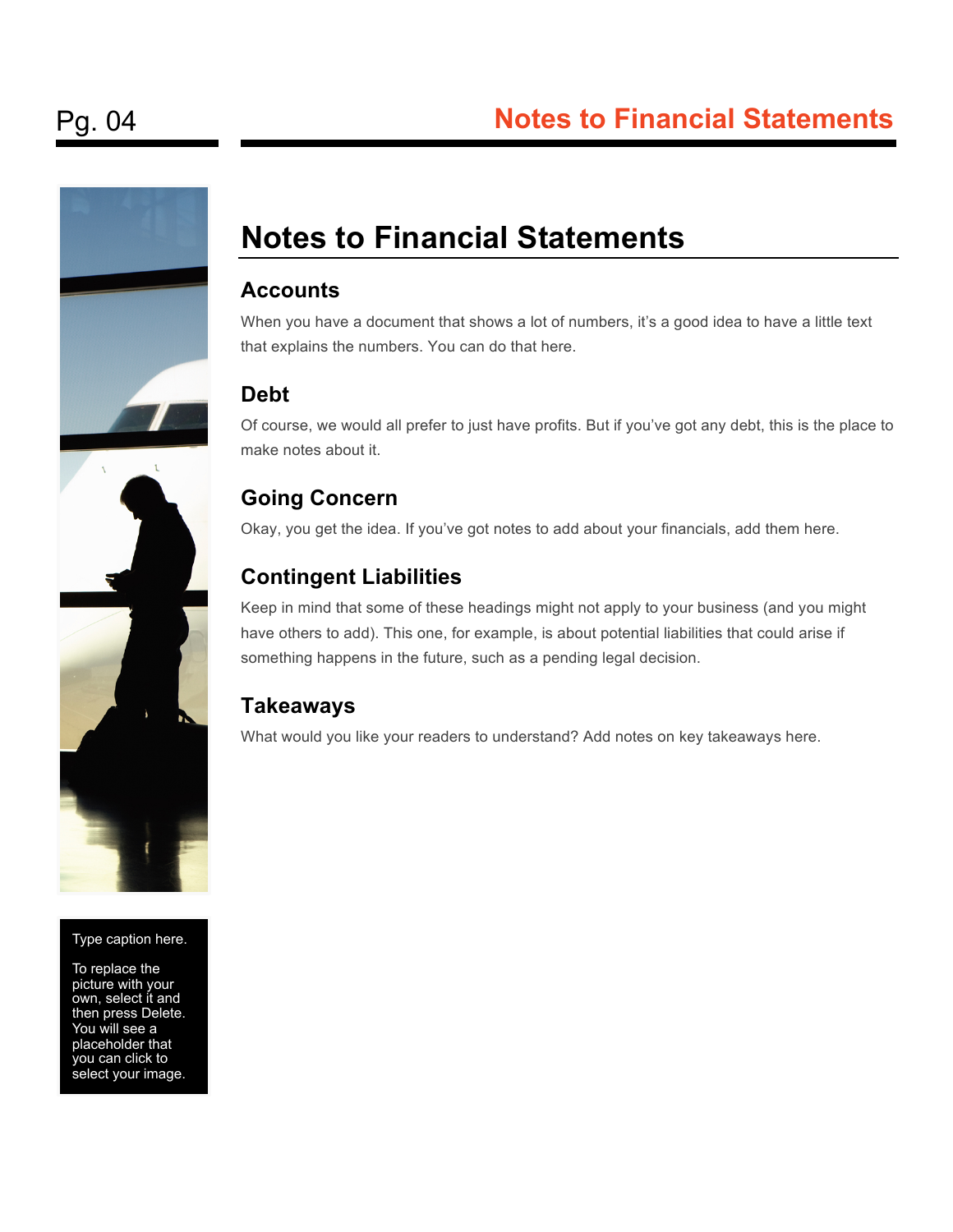

#### Type caption here.

To replace the picture with your own, select it and then press Delete. You will see a placeholder that you can click to select your image.

## **Notes to Financial Statements**

#### **Accounts**

When you have a document that shows a lot of numbers, it's a good idea to have a little text that explains the numbers. You can do that here.

#### **Debt**

Of course, we would all prefer to just have profits. But if you've got any debt, this is the place to make notes about it.

#### **Going Concern**

Okay, you get the idea. If you've got notes to add about your financials, add them here.

#### **Contingent Liabilities**

Keep in mind that some of these headings might not apply to your business (and you might have others to add). This one, for example, is about potential liabilities that could arise if something happens in the future, such as a pending legal decision.

#### **Takeaways**

What would you like your readers to understand? Add notes on key takeaways here.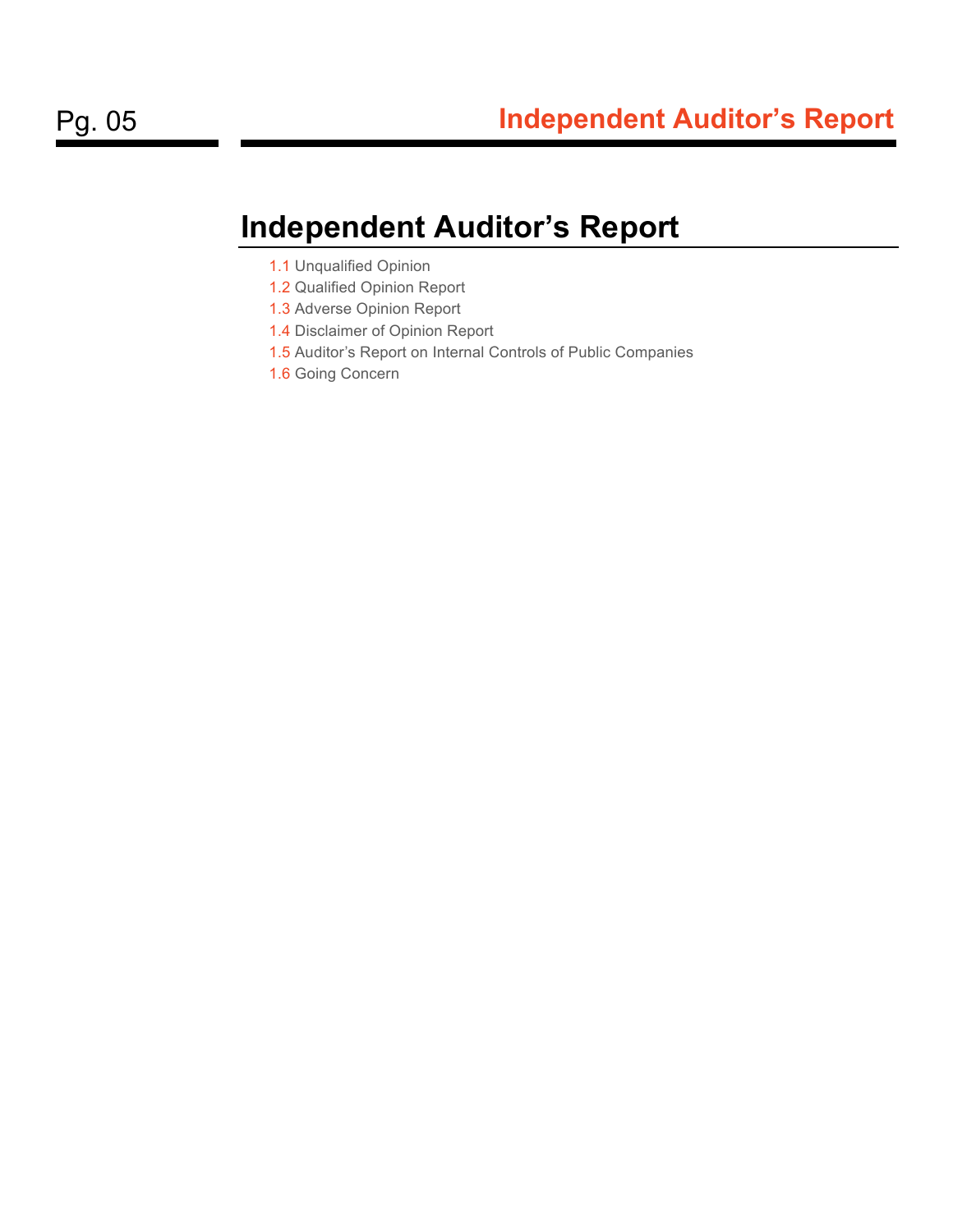## **Independent Auditor's Report**

- 1.1 Unqualified Opinion
- 1.2 Qualified Opinion Report
- 1.3 Adverse Opinion Report
- 1.4 Disclaimer of Opinion Report
- 1.5 Auditor's Report on Internal Controls of Public Companies
- 1.6 Going Concern